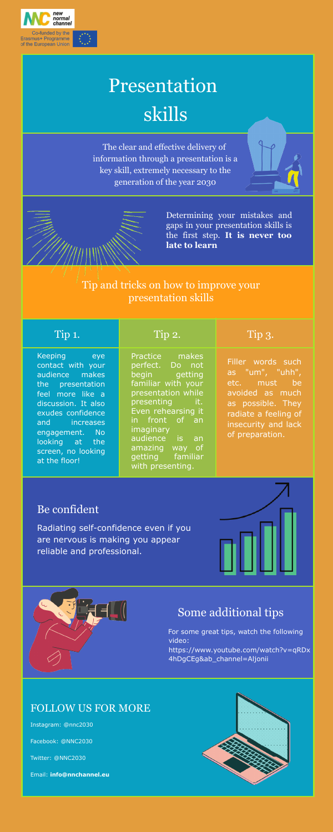

# Presentation skills

The clear and effective delivery of information through a presentation is a key skill, extremely necessary to the generation of the year 2030

> Determining your mistakes and gaps in your presentation skills is the first step. **It is never too late to learn**

Tip and tricks on how to improve your presentation skills

Keeping eye contact with your audience makes the presentation feel more like a discussion. It also exudes confidence and increases engagement. No looking at the screen, no looking at the floor!

Practice makes perfect. Do not begin getting familiar with your presentation while presenting it. Even rehearsing it in front of an imaginary audience is an amazing way of getting familiar with presenting.

### Tip 1. Tip 2. Tip 3.

Filler words such as "um", "uhh", etc. must be avoided as much as possible. They radiate a feeling of insecurity and lack of preparation.

#### Be confident

Radiating self-confidence even if you are nervous is making you appear reliable and professional.





### Some additional tips

For some great tips, watch the following video:

https://www.youtube.com/watch?v=qRDx 4hDgCEg&ab\_channel=Aljonii

#### FOLLOW US FOR MORE

Instagram: @nnc2030

Facebook: @NNC2030

Twitter: @NNC2030

Email: **info@nnchannel.eu**